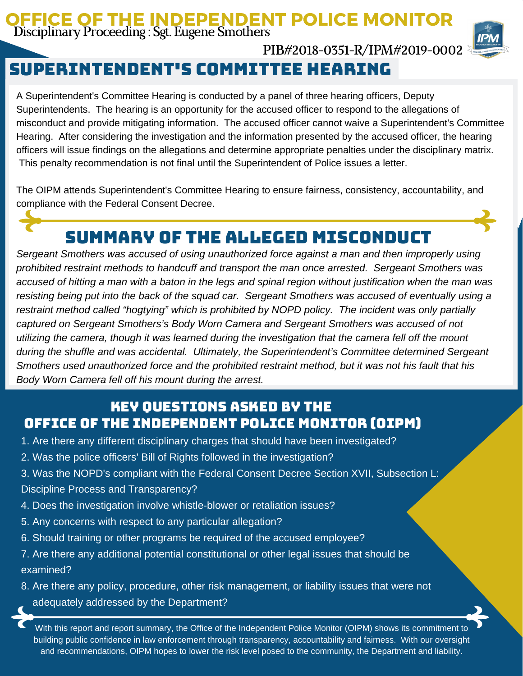#### OFFICE OF THE INDEPENDENT POLICE MONITOR Disciplinary Proceeding : Sgt. Eugene Smothers



# Superintendent's committee hearing

A Superintendent's Committee Hearing is conducted by a panel of three hearing officers, Deputy Superintendents. The hearing is an opportunity for the accused officer to respond to the allegations of misconduct and provide mitigating information. The accused officer cannot waive a Superintendent's Committee Hearing. After considering the investigation and the information presented by the accused officer, the hearing officers will issue findings on the allegations and determine appropriate penalties under the disciplinary matrix. This penalty recommendation is not final until the Superintendent of Police issues a letter.

PIB#2018-0351-R/IPM#2019-0002

The OIPM attends Superintendent's Committee Hearing to ensure fairness, consistency, accountability, and compliance with the Federal Consent Decree.

# Summary of the Alleged Misconduct

*Sergeant Smothers was accused of using unauthorized force against a man and then improperly using prohibited restraint methods to handcuff and transport the man once arrested. Sergeant Smothers was* accused of hitting a man with a baton in the legs and spinal region without justification when the man was resisting being put into the back of the squad car. Sergeant Smothers was accused of eventually using a *restraint method called "hogtying" which is prohibited by NOPD policy. The incident was only partially captured on Sergeant Smothers's Body Worn Camera and Sergeant Smothers was accused of not utilizing the camera, though it was learned during the investigation that the camera fell off the mount during the shuffle and was accidental. Ultimately, the Superintendent's Committee determined Sergeant Smothers used unauthorized force and the prohibited restraint method, but it was not his fault that his Body Worn Camera fell off his mount during the arrest.*

## Key Questions Asked by the Office of the Independent Police Monitor (OIPM)

- 1. Are there any different disciplinary charges that should have been investigated?
- 2. Was the police officers' Bill of Rights followed in the investigation?
- 3. Was the NOPD's compliant with the Federal Consent Decree Section XVII, Subsection L: Discipline Process and Transparency?
- 4. Does the investigation involve whistle-blower or retaliation issues?
- 5. Any concerns with respect to any particular allegation?
- 6. Should training or other programs be required of the accused employee?
- 7. Are there any additional potential constitutional or other legal issues that should be examined?
- 8. Are there any policy, procedure, other risk management, or liability issues that were not adequately addressed by the Department?

With this report and report summary, the Office of the Independent Police Monitor (OIPM) shows its commitment to building public confidence in law enforcement through transparency, accountability and fairness. With our oversight and recommendations, OIPM hopes to lower the risk level posed to the community, the Department and liability.